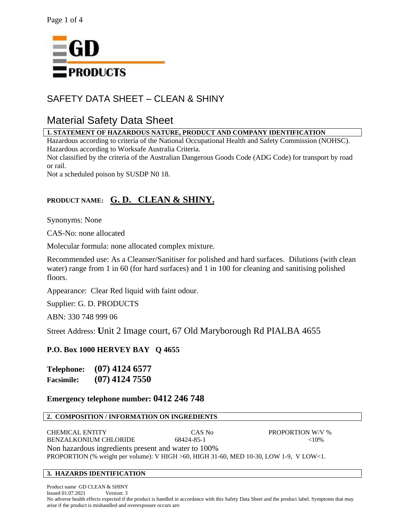

# SAFETY DATA SHEET – CLEAN & SHINY

# Material Safety Data Sheet

## **1. STATEMENT OF HAZARDOUS NATURE, PRODUCT AND COMPANY IDENTIFICATION**

Hazardous according to criteria of the National Occupational Health and Safety Commission (NOHSC). Hazardous according to Worksafe Australia Criteria.

Not classified by the criteria of the Australian Dangerous Goods Code (ADG Code) for transport by road or rail.

Not a scheduled poison by SUSDP N0 18.

## **PRODUCT NAME: G. D. CLEAN & SHINY.**

Synonyms: None

CAS-No: none allocated

Molecular formula: none allocated complex mixture.

Recommended use: As a Cleanser/Sanitiser for polished and hard surfaces. Dilutions (with clean water) range from 1 in 60 (for hard surfaces) and 1 in 100 for cleaning and sanitising polished floors.

Appearance: Clear Red liquid with faint odour.

Supplier: G. D. PRODUCTS

ABN: 330 748 999 06

Street Address: **U**nit 2 Image court, 67 Old Maryborough Rd PIALBA 4655

## **P.O. Box 1000 HERVEY BAY Q 4655**

**Telephone: (07) 4124 6577 Facsimile: (07) 4124 7550**

## **Emergency telephone number: 0412 246 748**

## **2. COMPOSITION / INFORMATION ON INGREDIENTS**

CHEMICAL ENTITY CAS No PROPORTION W/V % BENZALKONIUM CHLORIDE 68424-85-1 <10% Non hazardous ingredients present and water to 100% PROPORTION (% weight per volume): V HIGH >60, HIGH 31-60, MED 10-30, LOW 1-9, V LOW<1.

## **3. HAZARDS IDENTIFICATION**

Product name GD CLEAN & SHINY Issued 01.07.2021 Version: 3 No adverse health effects expected if the product is handled in accordance with this Safety Data Sheet and the product label. Symptoms that may arise if the product is mishandled and overexposure occurs are: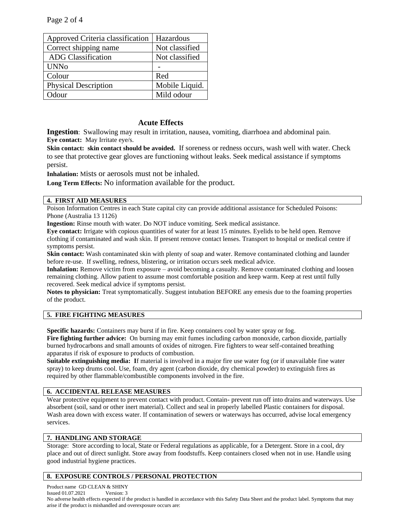| Approved Criteria classification | Hazardous      |
|----------------------------------|----------------|
| Correct shipping name            | Not classified |
| <b>ADG</b> Classification        | Not classified |
| <b>UNNo</b>                      |                |
| Colour                           | Red            |
| <b>Physical Description</b>      | Mobile Liquid. |
| <b>Mour</b>                      | Mild odour     |

## **Acute Effects**

**Ingestion**: Swallowing may result in irritation, nausea, vomiting, diarrhoea and abdominal pain. **Eye contact:** May Irritate eye/s.

**Skin contact: skin contact should be avoided.** If soreness or redness occurs, wash well with water. Check to see that protective gear gloves are functioning without leaks. Seek medical assistance if symptoms persist.

**Inhalation:** Mists or aerosols must not be inhaled.

**Long Term Effects:** No information available for the product.

## **4. FIRST AID MEASURES**

Poison Information Centres in each State capital city can provide additional assistance for Scheduled Poisons: Phone (Australia 13 1126)

**Ingestion:** Rinse mouth with water. Do NOT induce vomiting. Seek medical assistance.

**Eye contact:** Irrigate with copious quantities of water for at least 15 minutes. Eyelids to be held open. Remove clothing if contaminated and wash skin. If present remove contact lenses. Transport to hospital or medical centre if symptoms persist.

**Skin contact:** Wash contaminated skin with plenty of soap and water. Remove contaminated clothing and launder before re-use.If swelling, redness, blistering, or irritation occurs seek medical advice.

**Inhalation:** Remove victim from exposure – avoid becoming a casualty. Remove contaminated clothing and loosen remaining clothing. Allow patient to assume most comfortable position and keep warm. Keep at rest until fully recovered. Seek medical advice if symptoms persist.

**Notes to physician:** Treat symptomatically. Suggest intubation BEFORE any emesis due to the foaming properties of the product.

## **5. FIRE FIGHTING MEASURES**

**Specific hazards:** Containers may burst if in fire. Keep containers cool by water spray or fog.

**Fire fighting further advice:** On burning may emit fumes including carbon monoxide, carbon dioxide, partially burned hydrocarbons and small amounts of oxides of nitrogen. Fire fighters to wear self-contained breathing apparatus if risk of exposure to products of combustion.

**Suitable extinguishing media: I**f material is involved in a major fire use water fog (or if unavailable fine water spray) to keep drums cool. Use, foam, dry agent (carbon dioxide, dry chemical powder) to extinguish fires as required by other flammable/combustible components involved in the fire.

## **6. ACCIDENTAL RELEASE MEASURES**

Wear protective equipment to prevent contact with product. Contain- prevent run off into drains and waterways. Use absorbent (soil, sand or other inert material). Collect and seal in properly labelled Plastic containers for disposal. Wash area down with excess water. If contamination of sewers or waterways has occurred, advise local emergency services.

## **7. HANDLING AND STORAGE**

Storage: Store according to local, State or Federal regulations as applicable, for a Detergent. Store in a cool, dry place and out of direct sunlight. Store away from foodstuffs. Keep containers closed when not in use. Handle using good industrial hygiene practices.

## **8. EXPOSURE CONTROLS / PERSONAL PROTECTION**

Product name GD CLEAN & SHINY

Issued 01.07.2021 Version: 3

No adverse health effects expected if the product is handled in accordance with this Safety Data Sheet and the product label. Symptoms that may arise if the product is mishandled and overexposure occurs are: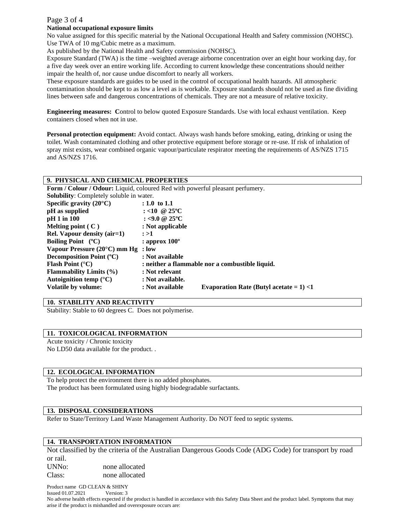## Page 3 of 4

#### **National occupational exposure limits**

No value assigned for this specific material by the National Occupational Health and Safety commission (NOHSC). Use TWA of 10 mg/Cubic metre as a maximum.

As published by the National Health and Safety commission (NOHSC).

Exposure Standard (TWA) is the time –weighted average airborne concentration over an eight hour working day, for a five day week over an entire working life. According to current knowledge these concentrations should neither impair the health of, nor cause undue discomfort to nearly all workers.

These exposure standards are guides to be used in the control of occupational health hazards. All atmospheric contamination should be kept to as low a level as is workable. Exposure standards should not be used as fine dividing lines between safe and dangerous concentrations of chemicals. They are not a measure of relative toxicity.

**Engineering measures: C**ontrol to below quoted Exposure Standards. Use with local exhaust ventilation. Keep containers closed when not in use.

**Personal protection equipment:** Avoid contact. Always wash hands before smoking, eating, drinking or using the toilet. Wash contaminated clothing and other protective equipment before storage or re-use. If risk of inhalation of spray mist exists, wear combined organic vapour/particulate respirator meeting the requirements of AS/NZS 1715 and AS/NZS 1716.

#### **9. PHYSICAL AND CHEMICAL PROPERTIES**

**Form / Colour / Odour:** Liquid, coloured Red with powerful pleasant perfumery. **Solubility**: Completely soluble in water. **Specific gravity (20°C) : 1.0 to 1.1 pH** as supplied : <10 @ 25°C **pH** 1 in 100 : <9.0 @ 25°C **Melting point ( C ) : Not applicable Rel. Vapour density (air=1) : >1 Boiling Point (ºC) : approx 100º Vapour Pressure (20°C) mm Hg : low Decomposition Point (ºC) : Not available**  Flash Point (°C) **: neither a flammable nor a combustible liquid. Flammability Limits (%) : Not relevant Autoignition temp (°C) : Not available. Volatile by volume: : Not available Evaporation Rate (Butyl acetate = 1) <1**

#### **10. STABILITY AND REACTIVITY**

Stability: Stable to 60 degrees C. Does not polymerise.

#### **11. TOXICOLOGICAL INFORMATION**

Acute toxicity / Chronic toxicity No LD50 data available for the product. .

#### **12. ECOLOGICAL INFORMATION**

To help protect the environment there is no added phosphates. The product has been formulated using highly biodegradable surfactants.

#### **13. DISPOSAL CONSIDERATIONS**

Refer to State/Territory Land Waste Management Authority. Do NOT feed to septic systems.

#### **14. TRANSPORTATION INFORMATION**

Not classified by the criteria of the Australian Dangerous Goods Code (ADG Code) for transport by road or rail. UNNo: none allocated Class: none allocated

Product name GD CLEAN & SHINY Issued 01.07.2021 Version: 3 No adverse health effects expected if the product is handled in accordance with this Safety Data Sheet and the product label. Symptoms that may arise if the product is mishandled and overexposure occurs are: